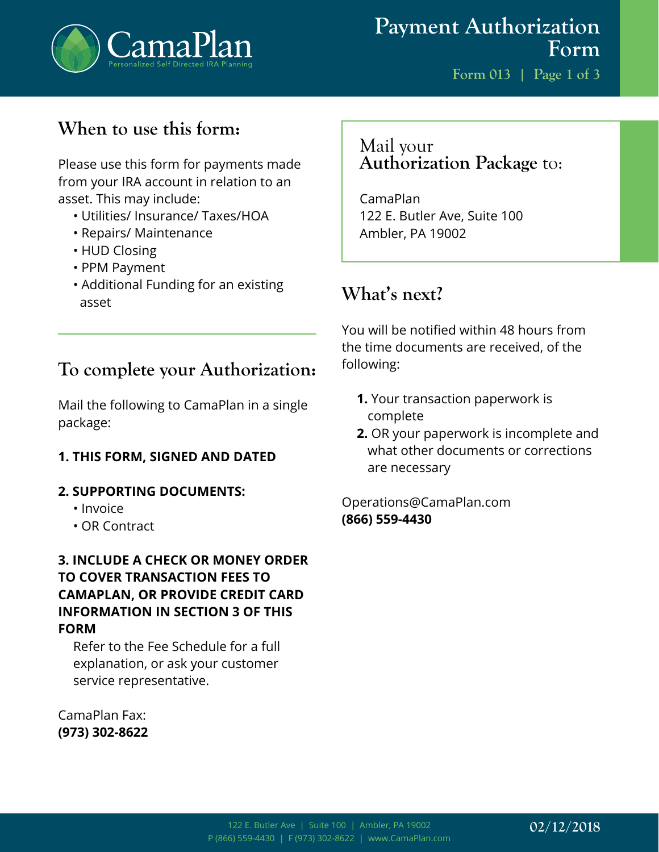

**Form 013 | Page 1 of 3**

## **When to use this form:**

Please use this form for payments made from your IRA account in relation to an asset. This may include:

- Utilities/ Insurance/ Taxes/HOA
- Repairs/ Maintenance
- HUD Closing
- PPM Payment
- Additional Funding for an existing asset

#### **To complete your Authorization:**

Mail the following to CamaPlan in a single package:

#### **1. THIS FORM, SIGNED AND DATED**

#### **2. SUPPORTING DOCUMENTS:**

- Invoice
- OR Contract

#### **3. INCLUDE A CHECK OR MONEY ORDER TO COVER TRANSACTION FEES TO CAMAPLAN, OR PROVIDE CREDIT CARD INFORMATION IN SECTION 3 OF THIS FORM**

Refer to the Fee Schedule for a full explanation, or ask your customer service representative.

CamaPlan Fax: **(973) 302-8622**

#### Mail your **Authorization Package** to:

CamaPlan 122 E. Butler Ave, Suite 100 Ambler, PA 19002

### **What's next?**

You will be notified within 48 hours from the time documents are received, of the following:

- **1.** Your transaction paperwork is complete
- **2.** OR your paperwork is incomplete and what other documents or corrections are necessary

Operations@CamaPlan.com **(866) 559-4430**

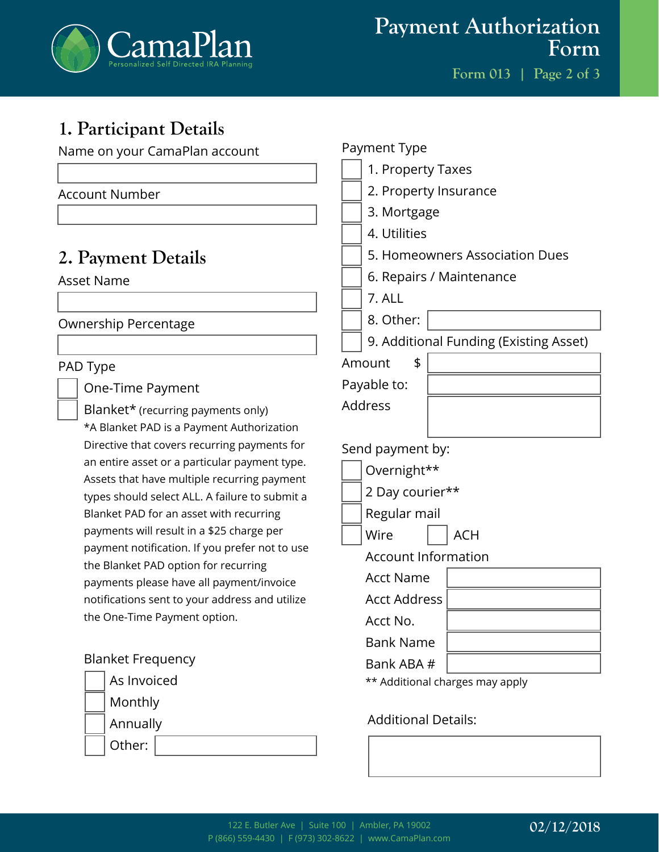

**Form 013 | Page 2 of 3**

# **1. Participant Details**

Other:

| Name on your CamaPlan account                                                                | Payment Type                           |
|----------------------------------------------------------------------------------------------|----------------------------------------|
|                                                                                              | 1. Property Taxes                      |
| <b>Account Number</b>                                                                        | 2. Property Insurance                  |
|                                                                                              | 3. Mortgage                            |
|                                                                                              | 4. Utilities                           |
| 2. Payment Details                                                                           | 5. Homeowners Association Dues         |
| <b>Asset Name</b>                                                                            | 6. Repairs / Maintenance               |
|                                                                                              | 7. ALL                                 |
| Ownership Percentage                                                                         | 8. Other:                              |
|                                                                                              | 9. Additional Funding (Existing Asset) |
| PAD Type                                                                                     | \$<br>Amount                           |
| One-Time Payment                                                                             | Payable to:                            |
| Blanket* (recurring payments only)                                                           | <b>Address</b>                         |
| *A Blanket PAD is a Payment Authorization                                                    |                                        |
| Directive that covers recurring payments for                                                 | Send payment by:                       |
| an entire asset or a particular payment type.<br>Assets that have multiple recurring payment | Overnight**                            |
| types should select ALL. A failure to submit a                                               | 2 Day courier**                        |
| Blanket PAD for an asset with recurring                                                      | Regular mail                           |
| payments will result in a \$25 charge per                                                    | Wire<br><b>ACH</b>                     |
| payment notification. If you prefer not to use                                               | <b>Account Information</b>             |
| the Blanket PAD option for recurring<br>payments please have all payment/invoice             | <b>Acct Name</b>                       |
| notifications sent to your address and utilize                                               | <b>Acct Address</b>                    |
| the One-Time Payment option.                                                                 | Acct No.                               |
|                                                                                              | <b>Bank Name</b>                       |
| <b>Blanket Frequency</b>                                                                     | Bank ABA #                             |
| As Invoiced                                                                                  | ** Additional charges may apply        |
| Monthly                                                                                      |                                        |
| Annually                                                                                     | <b>Additional Details:</b>             |